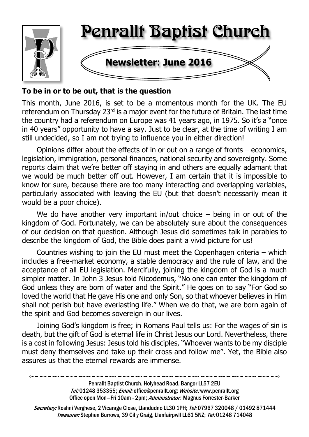

## **To be in or to be out, that is the question**

This month, June 2016, is set to be a momentous month for the UK. The EU referendum on Thursday 23rd is a major event for the future of Britain. The last time the country had a referendum on Europe was 41 years ago, in 1975. So it's a "once in 40 years" opportunity to have a say. Just to be clear, at the time of writing I am still undecided, so I am not trying to influence you in either direction!

Opinions differ about the effects of in or out on a range of fronts – economics, legislation, immigration, personal finances, national security and sovereignty. Some reports claim that we're better off staying in and others are equally adamant that we would be much better off out. However, I am certain that it is impossible to know for sure, because there are too many interacting and overlapping variables, particularly associated with leaving the EU (but that doesn't necessarily mean it would be a poor choice).

We do have another very important in/out choice  $-$  being in or out of the kingdom of God. Fortunately, we can be absolutely sure about the consequences of our decision on that question. Although Jesus did sometimes talk in parables to describe the kingdom of God, the Bible does paint a vivid picture for us!

Countries wishing to join the EU must meet the Copenhagen criteria – which includes a free-market economy, a stable democracy and the rule of law, and the acceptance of all EU legislation. Mercifully, joining the kingdom of God is a much simpler matter. In John 3 Jesus told Nicodemus, "No one can enter the kingdom of God unless they are born of water and the Spirit." He goes on to say "For God so loved the world that He gave His one and only Son, so that whoever believes in Him shall not perish but have everlasting life." When we do that, we are born again of the spirit and God becomes sovereign in our lives.

Joining God's kingdom is free; in Romans Paul tells us: For the wages of sin is death, but the gift of God is eternal life in Christ Jesus our Lord. Nevertheless, there is a cost in following Jesus: Jesus told his disciples, "Whoever wants to be my disciple must deny themselves and take up their cross and follow me". Yet, the Bible also assures us that the eternal rewards are immense.

> Penrallt Baptist Church, Holyhead Road, Bangor LL57 2EU Tel:01248 353355; Email: office@penrallt.org; Website: www.penrallt.org Office open Mon-Fri 10am - 2pm: Administrator: Magnus Forrester-Barker

Secretary: Roshni Verghese, 2 Vicarage Close, Llandudno LL30 1PH; Tel: 07967 320048 / 01492 871444 Treasurer: Stephen Burrows, 39 Cil y Graig, Llanfairpwll LL61 5NZ; Tel: 01248 714048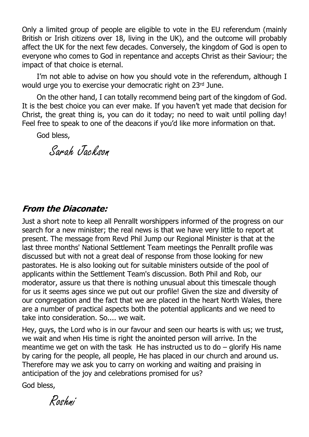Only a limited group of people are eligible to vote in the EU referendum (mainly British or Irish citizens over 18, living in the UK), and the outcome will probably affect the UK for the next few decades. Conversely, the kingdom of God is open to everyone who comes to God in repentance and accepts Christ as their Saviour; the impact of that choice is eternal.

I'm not able to advise on how you should vote in the referendum, although I would urge you to exercise your democratic right on 23rd June.

On the other hand, I can totally recommend being part of the kingdom of God. It is the best choice you can ever make. If you haven't yet made that decision for Christ, the great thing is, you can do it today; no need to wait until polling day! Feel free to speak to one of the deacons if you'd like more information on that.

God bless,

Sarah Jackson

## **From the Diaconate:**

Just a short note to keep all Penrallt worshippers informed of the progress on our search for a new minister; the real news is that we have very little to report at present. The message from Revd Phil Jump our Regional Minister is that at the last three months' National Settlement Team meetings the Penrallt profile was discussed but with not a great deal of response from those looking for new pastorates. He is also looking out for suitable ministers outside of the pool of applicants within the Settlement Team's discussion. Both Phil and Rob, our moderator, assure us that there is nothing unusual about this timescale though for us it seems ages since we put out our profile! Given the size and diversity of our congregation and the fact that we are placed in the heart North Wales, there are a number of practical aspects both the potential applicants and we need to take into consideration. So.... we wait.

Hey, guys, the Lord who is in our favour and seen our hearts is with us; we trust, we wait and when His time is right the anointed person will arrive. In the meantime we get on with the task He has instructed us to  $d_0$  – glorify His name by caring for the people, all people, He has placed in our church and around us. Therefore may we ask you to carry on working and waiting and praising in anticipation of the joy and celebrations promised for us?

God bless,

Roshni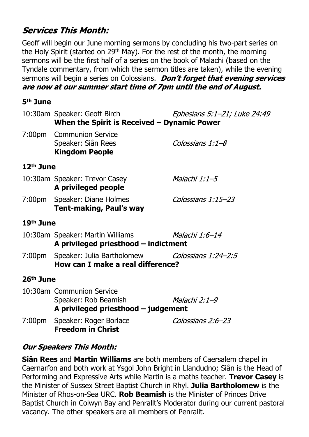# **Services This Month:**

Geoff will begin our June morning sermons by concluding his two-part series on the Holy Spirit (started on 29th May). For the rest of the month, the morning sermons will be the first half of a series on the book of Malachi (based on the Tyndale commentary, from which the sermon titles are taken), while the evening sermons will begin a series on Colossians. *Don't forget that evening services* are now at our summer start time of 7pm until the end of August.

#### **5th June**

|                       | 10:30am Speaker: Geoff Birch<br>When the Spirit is Received $-$ Dynamic Power              | Ephesians 5:1-21; Luke 24:49 |  |  |  |
|-----------------------|--------------------------------------------------------------------------------------------|------------------------------|--|--|--|
|                       | 7:00pm Communion Service<br>Speaker: Siân Rees<br><b>Kingdom People</b>                    | Colossians 1:1-8             |  |  |  |
| $12th$ June           |                                                                                            |                              |  |  |  |
|                       | 10:30am Speaker: Trevor Casey<br>A privileged people                                       | Malachi 1:1–5                |  |  |  |
|                       | 7:00pm Speaker: Diane Holmes<br><b>Tent-making, Paul's way</b>                             | Colossians 1:15-23           |  |  |  |
| 19 <sup>th</sup> June |                                                                                            |                              |  |  |  |
|                       | 10:30am Speaker: Martin Williams<br>A privileged priesthood - indictment                   | Malachi 1:6–14               |  |  |  |
|                       | 7:00pm Speaker: Julia Bartholomew Colossians 1:24-2:5<br>How can I make a real difference? |                              |  |  |  |
| 26 <sup>th</sup> June |                                                                                            |                              |  |  |  |
|                       | 10:30am Communion Service<br>Speaker: Rob Beamish<br>A privileged priesthood $-$ judgement | Malachi 2:1-9                |  |  |  |
|                       | 7:00pm Speaker: Roger Borlace<br><b>Freedom in Christ</b>                                  | Colossians 2:6-23            |  |  |  |

## **Our Speakers This Month:**

**Siân Rees** and **Martin Williams** are both members of Caersalem chapel in Caernarfon and both work at Ysgol John Bright in Llandudno; Siân is the Head of Performing and Expressive Arts while Martin is a maths teacher. **Trevor Casey** is the Minister of Sussex Street Baptist Church in Rhyl. **Julia Bartholomew** is the Minister of Rhos-on-Sea URC. **Rob Beamish** is the Minister of Princes Drive Baptist Church in Colwyn Bay and Penrallt's Moderator during our current pastoral vacancy. The other speakers are all members of Penrallt.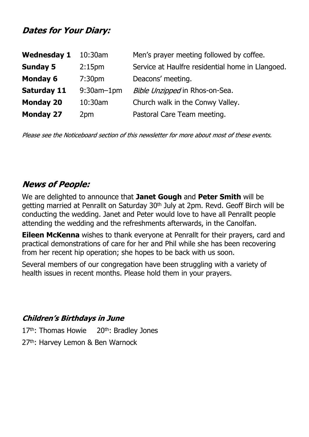# **Dates for Your Diary:**

| <b>Wednesday 1</b> | $10:30$ am         | Men's prayer meeting followed by coffee.         |
|--------------------|--------------------|--------------------------------------------------|
| <b>Sunday 5</b>    | 2:15 <sub>pm</sub> | Service at Haulfre residential home in Llangoed. |
| <b>Monday 6</b>    | 7:30 <sub>pm</sub> | Deacons' meeting.                                |
| <b>Saturday 11</b> | $9:30$ am $-1$ pm  | Bible Unzipped in Rhos-on-Sea.                   |
| <b>Monday 20</b>   | 10:30am            | Church walk in the Conwy Valley.                 |
| <b>Monday 27</b>   | 2pm                | Pastoral Care Team meeting.                      |

Please see the Noticeboard section of this newsletter for more about most of these events.

# **News of People:**

We are delighted to announce that **Janet Gough** and **Peter Smith** will be getting married at Penrallt on Saturday 30<sup>th</sup> July at 2pm. Revd. Geoff Birch will be conducting the wedding. Janet and Peter would love to have all Penrallt people attending the wedding and the refreshments afterwards, in the Canolfan.

**Eileen McKenna** wishes to thank everyone at Penrallt for their prayers, card and practical demonstrations of care for her and Phil while she has been recovering from her recent hip operation; she hopes to be back with us soon.

Several members of our congregation have been struggling with a variety of health issues in recent months. Please hold them in your prayers.

#### **Children's Birthdays in June**

17<sup>th</sup>: Thomas Howie 20<sup>th</sup>: Bradley Jones 27<sup>th</sup>: Harvey Lemon & Ben Warnock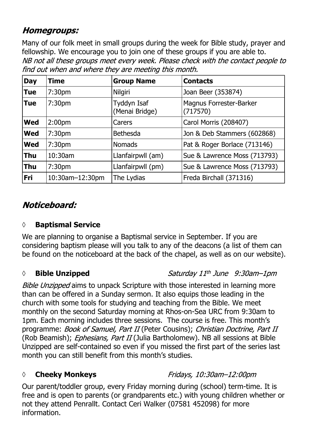# *Homegroups:*

Many of our folk meet in small groups during the week for Bible study, prayer and fellowship. We encourage you to join one of these groups if you are able to. NB not all these groups meet every week. Please check with the contact people to find out when and where they are meeting this month.

| <b>Day</b> | <b>Time</b>        | <b>Group Name</b>             | <b>Contacts</b>                     |
|------------|--------------------|-------------------------------|-------------------------------------|
| <b>Tue</b> | 7:30 <sub>pm</sub> | Nilgiri                       | Joan Beer (353874)                  |
| <b>Tue</b> | 7:30 <sub>pm</sub> | Tyddyn Isaf<br>(Menai Bridge) | Magnus Forrester-Barker<br>(717570) |
| <b>Wed</b> | 2:00 <sub>pm</sub> | Carers                        | Carol Morris (208407)               |
| <b>Wed</b> | 7:30 <sub>pm</sub> | <b>Bethesda</b>               | Jon & Deb Stammers (602868)         |
| <b>Wed</b> | 7:30 <sub>pm</sub> | <b>Nomads</b>                 | Pat & Roger Borlace (713146)        |
| <b>Thu</b> | 10:30am            | Llanfairpwll (am)             | Sue & Lawrence Moss (713793)        |
| <b>Thu</b> | 7:30 <sub>pm</sub> | Llanfairpwll (pm)             | Sue & Lawrence Moss (713793)        |
| Fri        | 10:30am-12:30pm    | The Lydias                    | Freda Birchall (371316)             |

# Noticeboard:

## **◊ Baptismal Service**

We are planning to organise a Baptismal service in September. If you are considering baptism please will you talk to any of the deacons (a list of them can be found on the noticeboard at the back of the chapel, as well as on our website).

## *◊* **Bible Unzipped**

Saturday 11th June 9:30am-1pm

Bible Unzipped aims to unpack Scripture with those interested in learning more than can be offered in a Sunday sermon. It also equips those leading in the church with some tools for studying and teaching from the Bible. We meet monthly on the second Saturday morning at Rhos-on-Sea URC from 9:30am to 1pm. Each morning includes three sessions. The course is free. This month's programme: Book of Samuel, Part II (Peter Cousins); Christian Doctrine, Part II (Rob Beamish); *Ephesians, Part II* (Julia Bartholomew). NB all sessions at Bible Unzipped are self-contained so even if you missed the first part of the series last month you can still benefit from this month's studies.

## *◊* **Cheeky Monkeys**

Fridays, 10:30am-12:00pm

Our parent/toddler group, every Friday morning during (school) term-time. It is free and is open to parents (or grandparents etc.) with young children whether or not they attend Penrallt. Contact Ceri Walker (07581 452098) for more information.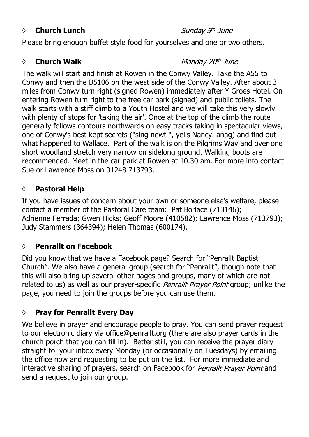#### *◊* **Church Lunch**

Sunday 5th June

Please bring enough buffet style food for yourselves and one or two others.

#### ◊ **Church Walk**

#### Monday 20th June

The walk will start and finish at Rowen in the Conwy Valley. Take the A55 to Conwy and then the B5106 on the west side of the Conwy Valley. After about 3 miles from Conwy turn right (signed Rowen) immediately after Y Groes Hotel. On entering Rowen turn right to the free car park (signed) and public toilets. The walk starts with a stiff climb to a Youth Hostel and we will take this very slowly with plenty of stops for 'taking the air'. Once at the top of the climb the route generally follows contours northwards on easy tracks taking in spectacular views, one of Conwy's best kept secrets ("sing newt ", yells Nancy. anag) and find out what happened to Wallace. Part of the walk is on the Pilgrims Way and over one short woodland stretch very narrow on sidelong ground. Walking boots are recommended. Meet in the car park at Rowen at 10.30 am. For more info contact Sue or Lawrence Moss on 01248 713793.

#### **◊ Pastoral Help**

If you have issues of concern about your own or someone else's welfare, please contact a member of the Pastoral Care team: Pat Borlace (713146); Adrienne Ferrada; Gwen Hicks; Geoff Moore (410582); Lawrence Moss (713793); Judy Stammers (364394); Helen Thomas (600174).

#### **◊ Penrallt on Facebook**

Did you know that we have a Facebook page? Search for "Penrallt Baptist Church". We also have a general group (search for "Penrallt", though note that this will also bring up several other pages and groups, many of which are not related to us) as well as our prayer-specific *Penrallt Prayer Point* group; unlike the page, you need to join the groups before you can use them.

## **◊ Pray for Penrallt Every Day**

We believe in prayer and encourage people to pray. You can send prayer request to our electronic diary via office@penrallt.org (there are also prayer cards in the church porch that you can fill in). Better still, you can receive the prayer diary straight to your inbox every Monday (or occasionally on Tuesdays) by emailing the office now and requesting to be put on the list. For more immediate and interactive sharing of prayers, search on Facebook for Penrallt Prayer Point and send a request to join our group.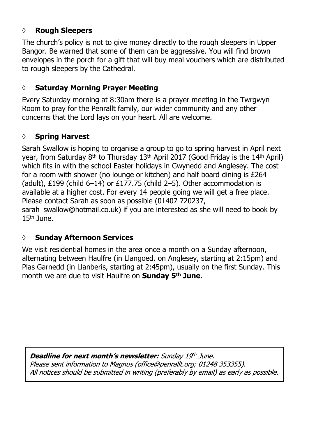#### **◊ Rough Sleepers**

The church's policy is not to give money directly to the rough sleepers in Upper Bangor. Be warned that some of them can be aggressive. You will find brown envelopes in the porch for a gift that will buy meal vouchers which are distributed to rough sleepers by the Cathedral.

#### **◊ Saturday Morning Prayer Meeting**

Every Saturday morning at 8:30am there is a prayer meeting in the Twrgwyn Room to pray for the Penrallt family, our wider community and any other concerns that the Lord lays on your heart. All are welcome.

#### **◊ Spring Harvest**

Sarah Swallow is hoping to organise a group to go to spring harvest in April next year, from Saturday 8<sup>th</sup> to Thursday 13<sup>th</sup> April 2017 (Good Friday is the 14<sup>th</sup> April) which fits in with the school Easter holidays in Gwynedd and Anglesey. The cost for a room with shower (no lounge or kitchen) and half board dining is £264 (adult), £199 (child 6-14) or £177.75 (child 2-5). Other accommodation is available at a higher cost. For every 14 people going we will get a free place. Please contact Sarah as soon as possible (01407 720237, sarah\_swallow@hotmail.co.uk) if you are interested as she will need to book by  $15<sup>th</sup>$  June.

#### **◊ Sunday Afternoon Services**

We visit residential homes in the area once a month on a Sunday afternoon, alternating between Haulfre (in Llangoed, on Anglesey, starting at 2:15pm) and Plas Garnedd (in Llanberis, starting at 2:45pm), usually on the first Sunday. This month we are due to visit Haulfre on **Sunday 5th June**.

Deadline for next month's newsletter: Sunday 19th June. Please sent information to Magnus (office@penrallt.org; 01248 353355). All notices should be submitted in writing (preferably by email) as early as possible.